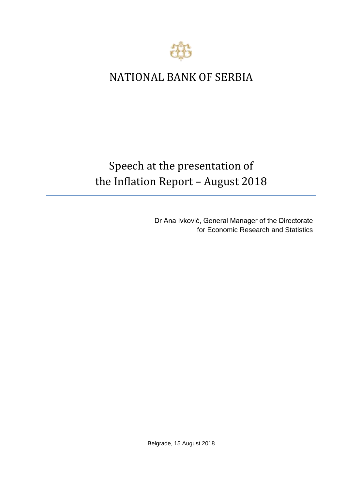

## NATIONAL BANK OF SERBIA

# Speech at the presentation of the Inflation Report – August 2018

Dr Ana Ivković, General Manager of the Directorate for Economic Research and Statistics

Belgrade, 15 August 2018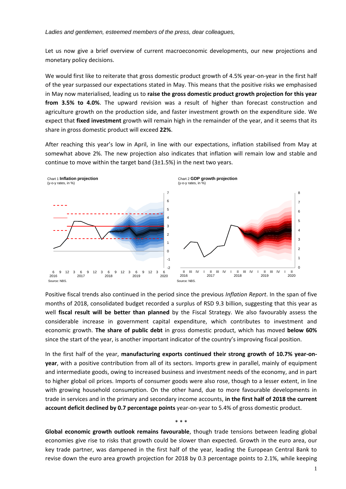#### *Ladies and gentlemen, esteemed members of the press, dear colleagues,*

Let us now give a brief overview of current macroeconomic developments, our new projections and monetary policy decisions.

We would first like to reiterate that gross domestic product growth of 4.5% year-on-year in the first half of the year surpassed our expectations stated in May. This means that the positive risks we emphasised in May now materialised, leading us to **raise the gross domestic product growth projection for this year from 3.5% to 4.0%**. The upward revision was a result of higher than forecast construction and agriculture growth on the production side, and faster investment growth on the expenditure side. We expect that **fixed investment** growth will remain high in the remainder of the year, and it seems that its share in gross domestic product will exceed **22%**.

After reaching this year's low in April, in line with our expectations, inflation stabilised from May at somewhat above 2%. The new projection also indicates that inflation will remain low and stable and continue to move within the target band (3±1.5%) in the next two years.



Positive fiscal trends also continued in the period since the previous *Inflation Report*. In the span of five months of 2018, consolidated budget recorded a surplus of RSD 9.3 billion, suggesting that this year as well **fiscal result will be better than planned** by the Fiscal Strategy. We also favourably assess the considerable increase in government capital expenditure, which contributes to investment and economic growth. **The share of public debt** in gross domestic product, which has moved **below 60%** since the start of the year, is another important indicator of the country's improving fiscal position.

In the first half of the year, **manufacturing exports continued their strong growth of 10.7% year-onyear**, with a positive contribution from all of its sectors. Imports grew in parallel, mainly of equipment and intermediate goods, owing to increased business and investment needs of the economy, and in part to higher global oil prices. Imports of consumer goods were also rose, though to a lesser extent, in line with growing household consumption. On the other hand, due to more favourable developments in trade in services and in the primary and secondary income accounts, **in the first half of 2018 the current account deficit declined by 0.7 percentage points** year-on-year to 5.4% of gross domestic product.

**Global economic growth outlook remains favourable**, though trade tensions between leading global economies give rise to risks that growth could be slower than expected. Growth in the euro area, our key trade partner, was dampened in the first half of the year, leading the European Central Bank to revise down the euro area growth projection for 2018 by 0.3 percentage points to 2.1%, while keeping

\* \* \*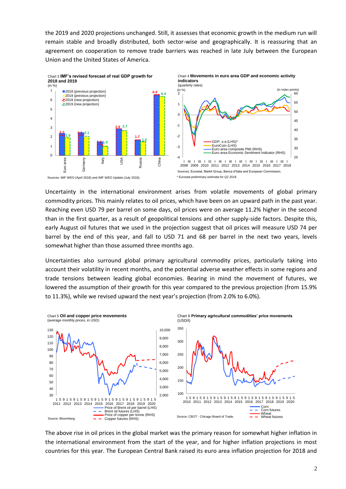the 2019 and 2020 projections unchanged. Still, it assesses that economic growth in the medium run will remain stable and broadly distributed, both sector-wise and geographically. It is reassuring that an agreement on cooperation to remove trade barriers was reached in late July between the European Union and the United States of America.







\* Eurostat preliminary estimate for Q2 2018.

Uncertainty in the international environment arises from volatile movements of global primary commodity prices. This mainly relates to oil prices, which have been on an upward path in the past year. Reaching even USD 79 per barrel on some days, oil prices were on average 11.2% higher in the second than in the first quarter, as a result of geopolitical tensions and other supply-side factors. Despite this, early August oil futures that we used in the projection suggest that oil prices will measure USD 74 per barrel by the end of this year, and fall to USD 71 and 68 per barrel in the next two years, levels somewhat higher than those assumed three months ago.

Uncertainties also surround global primary agricultural commodity prices, particularly taking into account their volatility in recent months, and the potential adverse weather effects in some regions and trade tensions between leading global economies. Bearing in mind the movement of futures, we lowered the assumption of their growth for this year compared to the previous projection (from 15.9% to 11.3%), while we revised upward the next year's projection (from 2.0% to 6.0%).



The above rise in oil prices in the global market was the primary reason for somewhat higher inflation in the international environment from the start of the year, and for higher inflation projections in most countries for this year. The European Central Bank raised its euro area inflation projection for 2018 and

Sources: IMF WEO (April 2018) and IMF WEO Update (July 2018).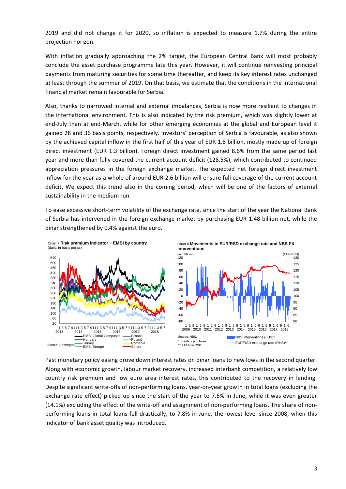2019 and did not change it for 2020, so inflation is expected to measure 1.7% during the entire projection horizon.

With inflation gradually approaching the 2% target, the European Central Bank will most probably conclude the asset purchase programme late this year. However, it will continue reinvesting principal payments from maturing securities for some time thereafter, and keep its key interest rates unchanged at least through the summer of 2019. On that basis, we estimate that the conditions in the international financial market remain favourable for Serbia.

Also, thanks to narrowed internal and external imbalances, Serbia is now more resilient to changes in the international environment. This is also indicated by the risk premium, which was slightly lower at end-July than at end-March, while for other emerging economies at the global and European level it gained 28 and 36 basis points, respectively. Investors' perception of Serbia is favourable, as also shown by the achieved capital inflow in the first half of this year of EUR 1.8 billion, mostly made up of foreign direct investment (EUR 1.3 billion). Foreign direct investment gained 8.6% from the same period last year and more than fully covered the current account deficit (128.5%), which contributed to continued appreciation pressures in the foreign exchange market. The expected net foreign direct investment inflow for the year as a whole of around EUR 2.6 billion will ensure full coverage of the current account deficit. We expect this trend also in the coming period, which will be one of the factors of external sustainability in the medium run.

To ease excessive short-term volatility of the exchange rate, since the start of the year the National Bank of Serbia has intervened in the foreign exchange market by purchasing EUR 1.48 billion net, while the dinar strengthened by 0.4% against the euro.



Past monetary policy easing drove down interest rates on dinar loans to new lows in the second quarter. Along with economic growth, labour market recovery, increased interbank competition, a relatively low country risk premium and low euro area interest rates, this contributed to the recovery in lending. Despite significant write-offs of non-performing loans, year-on-year growth in total loans (excluding the exchange rate effect) picked up since the start of the year to 7.6% in June, while it was even greater (14.1%) excluding the effect of the write-off and assignment of non-performing loans. The share of nonperforming loans in total loans fell drastically, to 7.8% in June, the lowest level since 2008, when this indicator of bank asset quality was introduced.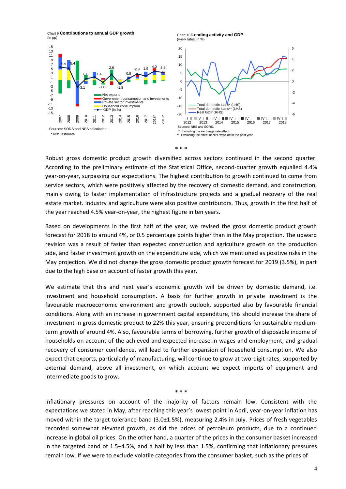Chart 9 **Contributions to annual GDP growth**  (in pp)





Robust gross domestic product growth diversified across sectors continued in the second quarter. According to the preliminary estimate of the Statistical Office, second-quarter growth equalled 4.4% year-on-year, surpassing our expectations. The highest contribution to growth continued to come from service sectors, which were positively affected by the recovery of domestic demand, and construction, mainly owing to faster implementation of infrastructure projects and a gradual recovery of the real estate market. Industry and agriculture were also positive contributors. Thus, growth in the first half of the year reached 4.5% year-on-year, the highest figure in ten years.

Based on developments in the first half of the year, we revised the gross domestic product growth forecast for 2018 to around 4%, or 0.5 percentage points higher than in the May projection. The upward revision was a result of faster than expected construction and agriculture growth on the production side, and faster investment growth on the expenditure side, which we mentioned as positive risks in the May projection. We did not change the gross domestic product growth forecast for 2019 (3.5%), in part due to the high base on account of faster growth this year.

We estimate that this and next year's economic growth will be driven by domestic demand, i.e. investment and household consumption. A basis for further growth in private investment is the favourable macroeconomic environment and growth outlook, supported also by favourable financial conditions. Along with an increase in government capital expenditure, this should increase the share of investment in gross domestic product to 22% this year, ensuring preconditions for sustainable mediumterm growth of around 4%. Also, favourable terms of borrowing, further growth of disposable income of households on account of the achieved and expected increase in wages and employment, and gradual recovery of consumer confidence, will lead to further expansion of household consumption. We also expect that exports, particularly of manufacturing, will continue to grow at two-digit rates, supported by external demand, above all investment, on which account we expect imports of equipment and intermediate goods to grow.

Inflationary pressures on account of the majority of factors remain low. Consistent with the expectations we stated in May, after reaching this year's lowest point in April, year-on-year inflation has moved within the target tolerance band (3.0±1.5%), measuring 2.4% in July. Prices of fresh vegetables recorded somewhat elevated growth, as did the prices of petroleum products, due to a continued increase in global oil prices. On the other hand, a quarter of the prices in the consumer basket increased in the targeted band of 1.5–4.5%, and a half by less than 1.5%, confirming that inflationary pressures remain low. If we were to exclude volatile categories from the consumer basket, such as the prices of

\* \* \*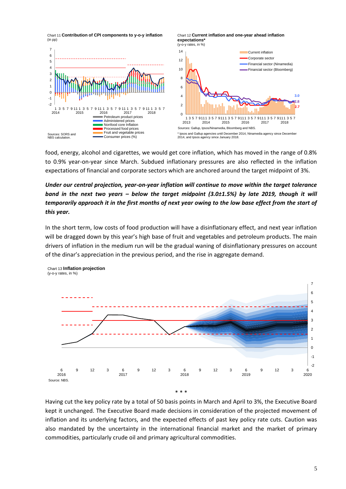

food, energy, alcohol and cigarettes, we would get core inflation, which has moved in the range of 0.8% to 0.9% year-on-year since March. Subdued inflationary pressures are also reflected in the inflation expectations of financial and corporate sectors which are anchored around the target midpoint of 3%.

### *Under our central projection, year-on-year inflation will continue to move within the target tolerance band in the next two years – below the target midpoint (3.0±1.5%) by late 2019, though it will temporarily approach it in the first months of next year owing to the low base effect from the start of this year.*

In the short term, low costs of food production will have a disinflationary effect, and next year inflation will be dragged down by this year's high base of fruit and vegetables and petroleum products. The main drivers of inflation in the medium run will be the gradual waning of disinflationary pressures on account of the dinar's appreciation in the previous period, and the rise in aggregate demand.



Chart 13 **Inflation projection** (y-o-y rates, in %)

Having cut the key policy rate by a total of 50 basis points in March and April to 3%, the Executive Board kept it unchanged. The Executive Board made decisions in consideration of the projected movement of inflation and its underlying factors, and the expected effects of past key policy rate cuts. Caution was also mandated by the uncertainty in the international financial market and the market of primary commodities, particularly crude oil and primary agricultural commodities.